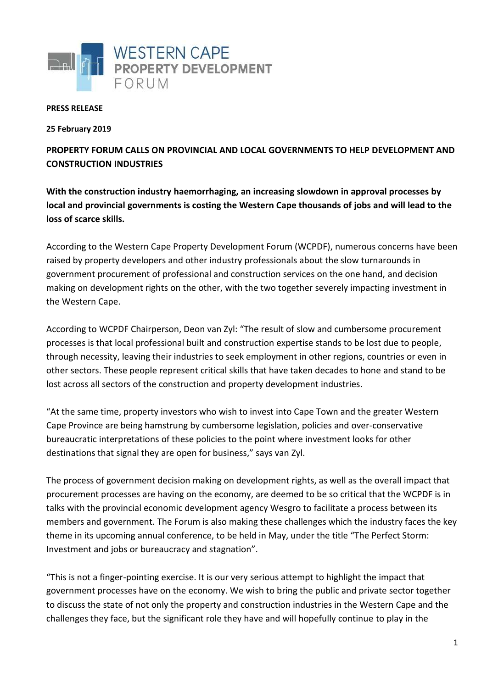

## **PRESS RELEASE**

**25 February 2019**

**PROPERTY FORUM CALLS ON PROVINCIAL AND LOCAL GOVERNMENTS TO HELP DEVELOPMENT AND CONSTRUCTION INDUSTRIES**

**With the construction industry haemorrhaging, an increasing slowdown in approval processes by local and provincial governments is costing the Western Cape thousands of jobs and will lead to the loss of scarce skills.**

According to the Western Cape Property Development Forum (WCPDF), numerous concerns have been raised by property developers and other industry professionals about the slow turnarounds in government procurement of professional and construction services on the one hand, and decision making on development rights on the other, with the two together severely impacting investment in the Western Cape.

According to WCPDF Chairperson, Deon van Zyl: "The result of slow and cumbersome procurement processes is that local professional built and construction expertise stands to be lost due to people, through necessity, leaving their industries to seek employment in other regions, countries or even in other sectors. These people represent critical skills that have taken decades to hone and stand to be lost across all sectors of the construction and property development industries.

"At the same time, property investors who wish to invest into Cape Town and the greater Western Cape Province are being hamstrung by cumbersome legislation, policies and over-conservative bureaucratic interpretations of these policies to the point where investment looks for other destinations that signal they are open for business," says van Zyl.

The process of government decision making on development rights, as well as the overall impact that procurement processes are having on the economy, are deemed to be so critical that the WCPDF is in talks with the provincial economic development agency Wesgro to facilitate a process between its members and government. The Forum is also making these challenges which the industry faces the key theme in its upcoming annual conference, to be held in May, under the title "The Perfect Storm: Investment and jobs or bureaucracy and stagnation".

"This is not a finger-pointing exercise. It is our very serious attempt to highlight the impact that government processes have on the economy. We wish to bring the public and private sector together to discuss the state of not only the property and construction industries in the Western Cape and the challenges they face, but the significant role they have and will hopefully continue to play in the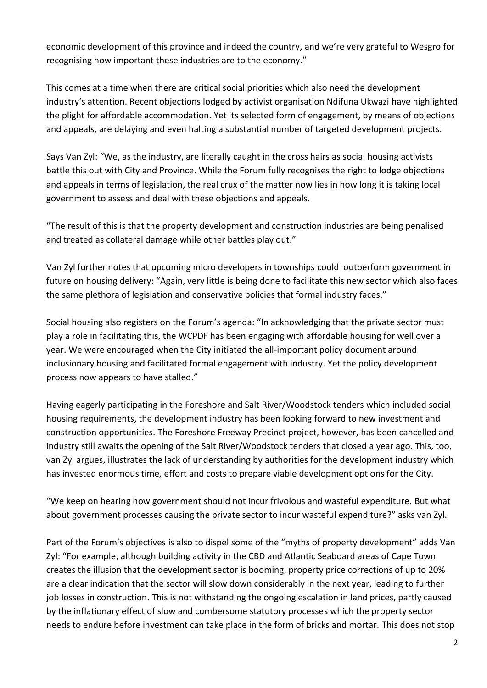economic development of this province and indeed the country, and we're very grateful to Wesgro for recognising how important these industries are to the economy."

This comes at a time when there are critical social priorities which also need the development industry's attention. Recent objections lodged by activist organisation Ndifuna Ukwazi have highlighted the plight for affordable accommodation. Yet its selected form of engagement, by means of objections and appeals, are delaying and even halting a substantial number of targeted development projects.

Says Van Zyl: "We, as the industry, are literally caught in the cross hairs as social housing activists battle this out with City and Province. While the Forum fully recognises the right to lodge objections and appeals in terms of legislation, the real crux of the matter now lies in how long it is taking local government to assess and deal with these objections and appeals.

"The result of this is that the property development and construction industries are being penalised and treated as collateral damage while other battles play out."

Van Zyl further notes that upcoming micro developers in townships could outperform government in future on housing delivery: "Again, very little is being done to facilitate this new sector which also faces the same plethora of legislation and conservative policies that formal industry faces."

Social housing also registers on the Forum's agenda: "In acknowledging that the private sector must play a role in facilitating this, the WCPDF has been engaging with affordable housing for well over a year. We were encouraged when the City initiated the all-important policy document around inclusionary housing and facilitated formal engagement with industry. Yet the policy development process now appears to have stalled."

Having eagerly participating in the Foreshore and Salt River/Woodstock tenders which included social housing requirements, the development industry has been looking forward to new investment and construction opportunities. The Foreshore Freeway Precinct project, however, has been cancelled and industry still awaits the opening of the Salt River/Woodstock tenders that closed a year ago. This, too, van Zyl argues, illustrates the lack of understanding by authorities for the development industry which has invested enormous time, effort and costs to prepare viable development options for the City.

"We keep on hearing how government should not incur frivolous and wasteful expenditure. But what about government processes causing the private sector to incur wasteful expenditure?" asks van Zyl.

Part of the Forum's objectives is also to dispel some of the "myths of property development" adds Van Zyl: "For example, although building activity in the CBD and Atlantic Seaboard areas of Cape Town creates the illusion that the development sector is booming, property price corrections of up to 20% are a clear indication that the sector will slow down considerably in the next year, leading to further job losses in construction. This is not withstanding the ongoing escalation in land prices, partly caused by the inflationary effect of slow and cumbersome statutory processes which the property sector needs to endure before investment can take place in the form of bricks and mortar. This does not stop